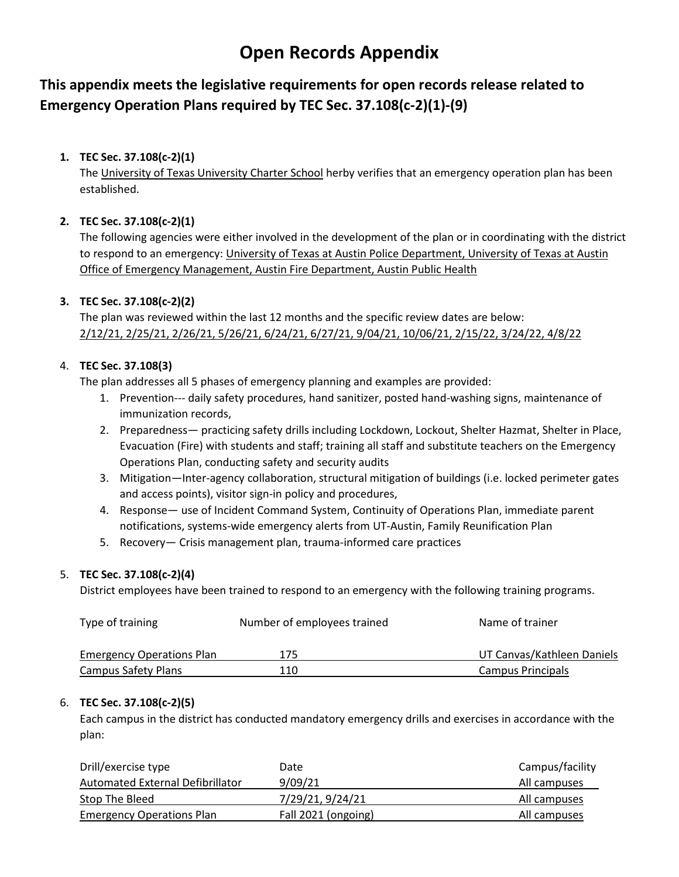# **Open Records Appendix**

**This appendix meets the legislative requirements for open records release related to Emergency Operation Plans required by TEC Sec. 37.108(c-2)(1)-(9)**

# **1. TEC Sec. 37.108(c-2)(1)**

The University of Texas University Charter School herby verifies that an emergency operation plan has been established.

# **2. TEC Sec. 37.108(c-2)(1)**

The following agencies were either involved in the development of the plan or in coordinating with the district to respond to an emergency: University of Texas at Austin Police Department, University of Texas at Austin Office of Emergency Management, Austin Fire Department, Austin Public Health

# **3. TEC Sec. 37.108(c-2)(2)**

The plan was reviewed within the last 12 months and the specific review dates are below: 2/12/21, 2/25/21, 2/26/21, 5/26/21, 6/24/21, 6/27/21, 9/04/21, 10/06/21, 2/15/22, 3/24/22, 4/8/22

# 4. **TEC Sec. 37.108(3)**

The plan addresses all 5 phases of emergency planning and examples are provided:

- 1. Prevention--- daily safety procedures, hand sanitizer, posted hand-washing signs, maintenance of immunization records,
- 2. Preparedness— practicing safety drills including Lockdown, Lockout, Shelter Hazmat, Shelter in Place, Evacuation (Fire) with students and staff; training all staff and substitute teachers on the Emergency Operations Plan, conducting safety and security audits
- 3. Mitigation—Inter-agency collaboration, structural mitigation of buildings (i.e. locked perimeter gates and access points), visitor sign-in policy and procedures,
- 4. Response— use of Incident Command System, Continuity of Operations Plan, immediate parent notifications, systems-wide emergency alerts from UT-Austin, Family Reunification Plan
- 5. Recovery— Crisis management plan, trauma-informed care practices

## 5. **TEC Sec. 37.108(c-2)(4)**

District employees have been trained to respond to an emergency with the following training programs.

| Type of training                 | Number of employees trained | Name of trainer            |
|----------------------------------|-----------------------------|----------------------------|
| <b>Emergency Operations Plan</b> | 175                         | UT Canvas/Kathleen Daniels |
| <b>Campus Safety Plans</b>       | 110                         | <b>Campus Principals</b>   |

## 6. **TEC Sec. 37.108(c-2)(5)**

Each campus in the district has conducted mandatory emergency drills and exercises in accordance with the plan:

| Drill/exercise type              | Date                | Campus/facility |
|----------------------------------|---------------------|-----------------|
| Automated External Defibrillator | 9/09/21             | All campuses    |
| Stop The Bleed                   | 7/29/21, 9/24/21    | All campuses    |
| <b>Emergency Operations Plan</b> | Fall 2021 (ongoing) | All campuses    |